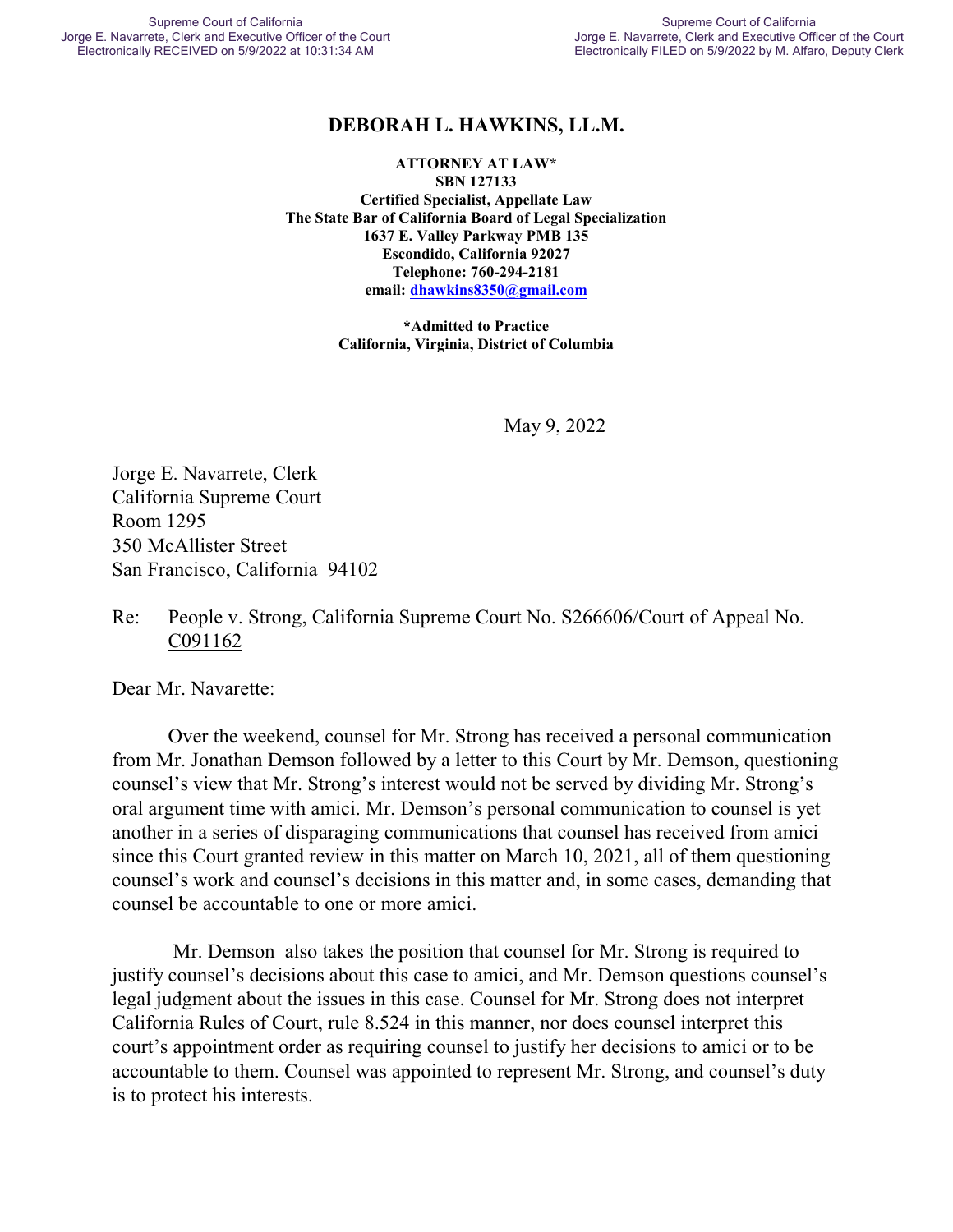# **DEBORAH L. HAWKINS, LL.M.**

**ATTORNEY AT LAW\* SBN 127133 Certified Specialist, Appellate Law The State Bar of California Board of Legal Specialization 1637 E. Valley Parkway PMB 135 Escondido, California 92027 Telephone: 760-294-2181 email: [dhawkins8350@gmail.com](mailto:dhawkins8350@gmail.com)**

> **\*Admitted to Practice California, Virginia, District of Columbia**

> > May 9, 2022

Jorge E. Navarrete, Clerk California Supreme Court Room 1295 350 McAllister Street San Francisco, California 94102

### Re: People v. Strong, California Supreme Court No. S266606/Court of Appeal No. C091162

Dear Mr. Navarette:

Over the weekend, counsel for Mr. Strong has received a personal communication from Mr. Jonathan Demson followed by a letter to this Court by Mr. Demson, questioning counsel's view that Mr. Strong's interest would not be served by dividing Mr. Strong's oral argument time with amici. Mr. Demson's personal communication to counsel is yet another in a series of disparaging communications that counsel has received from amici since this Court granted review in this matter on March 10, 2021, all of them questioning counsel's work and counsel's decisions in this matter and, in some cases, demanding that counsel be accountable to one or more amici.

 Mr. Demson also takes the position that counsel for Mr. Strong is required to justify counsel's decisions about this case to amici, and Mr. Demson questions counsel's legal judgment about the issues in this case. Counsel for Mr. Strong does not interpret California Rules of Court, rule 8.524 in this manner, nor does counsel interpret this court's appointment order as requiring counsel to justify her decisions to amici or to be accountable to them. Counsel was appointed to represent Mr. Strong, and counsel's duty is to protect his interests.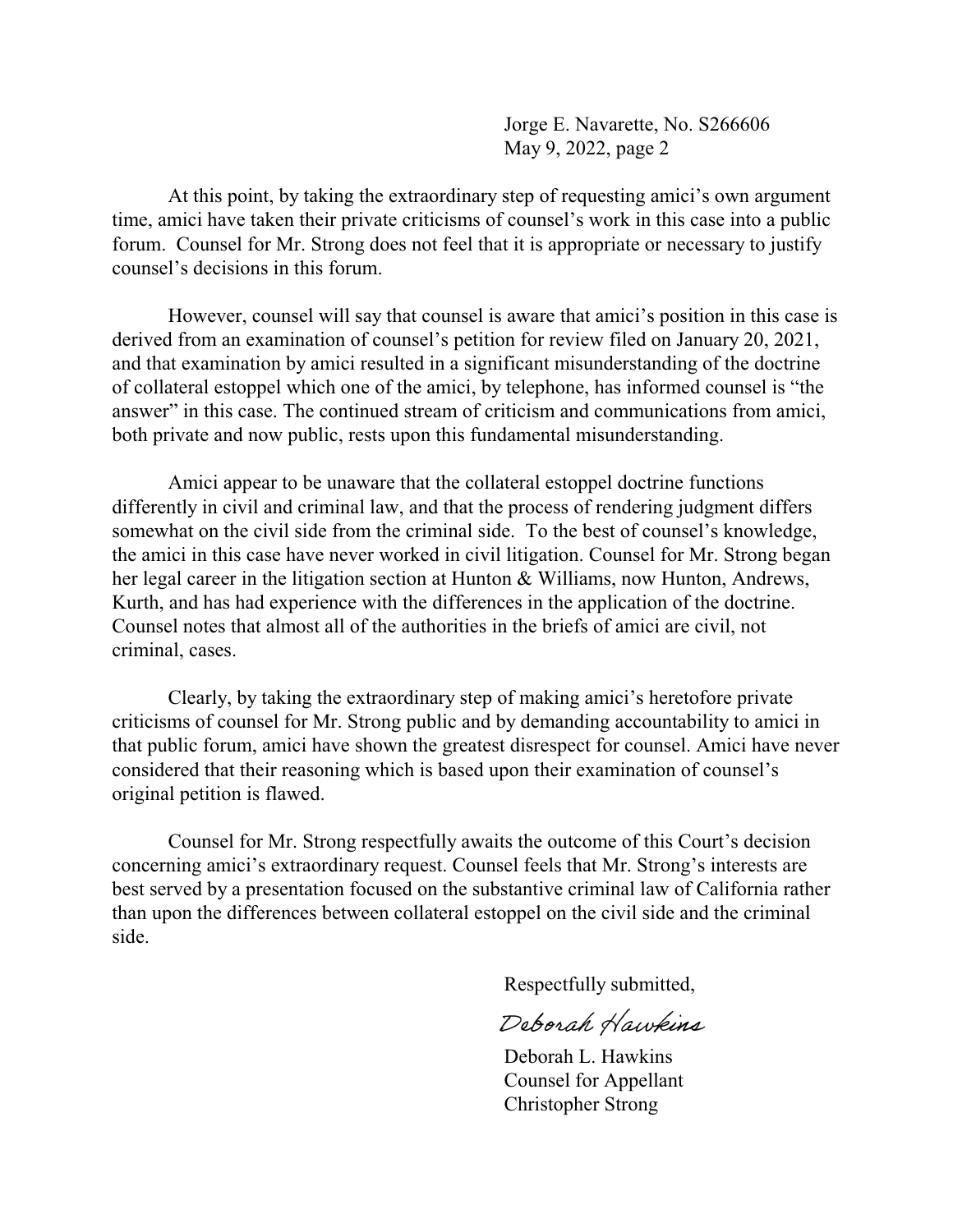Jorge E. Navarette, No. S266606 May 9, 2022, page 2

At this point, by taking the extraordinary step of requesting amici's own argument time, amici have taken their private criticisms of counsel's work in this case into a public forum. Counsel for Mr. Strong does not feel that it is appropriate or necessary to justify counsel's decisions in this forum.

However, counsel will say that counsel is aware that amici's position in this case is derived from an examination of counsel's petition for review filed on January 20, 2021, and that examination by amici resulted in a significant misunderstanding of the doctrine of collateral estoppel which one of the amici, by telephone, has informed counsel is "the answer" in this case. The continued stream of criticism and communications from amici, both private and now public, rests upon this fundamental misunderstanding.

Amici appear to be unaware that the collateral estoppel doctrine functions differently in civil and criminal law, and that the process of rendering judgment differs somewhat on the civil side from the criminal side. To the best of counsel's knowledge, the amici in this case have never worked in civil litigation. Counsel for Mr. Strong began her legal career in the litigation section at Hunton & Williams, now Hunton, Andrews, Kurth, and has had experience with the differences in the application of the doctrine. Counsel notes that almost all of the authorities in the briefs of amici are civil, not criminal, cases.

Clearly, by taking the extraordinary step of making amici's heretofore private criticisms of counsel for Mr. Strong public and by demanding accountability to amici in that public forum, amici have shown the greatest disrespect for counsel. Amici have never considered that their reasoning which is based upon their examination of counsel's original petition is flawed.

Counsel for Mr. Strong respectfully awaits the outcome of this Court's decision concerning amici's extraordinary request. Counsel feels that Mr. Strong's interests are best served by a presentation focused on the substantive criminal law of California rather than upon the differences between collateral estoppel on the civil side and the criminal side.

Respectfully submitted,

Deborah Hawkins

Deborah L. Hawkins Counsel for Appellant Christopher Strong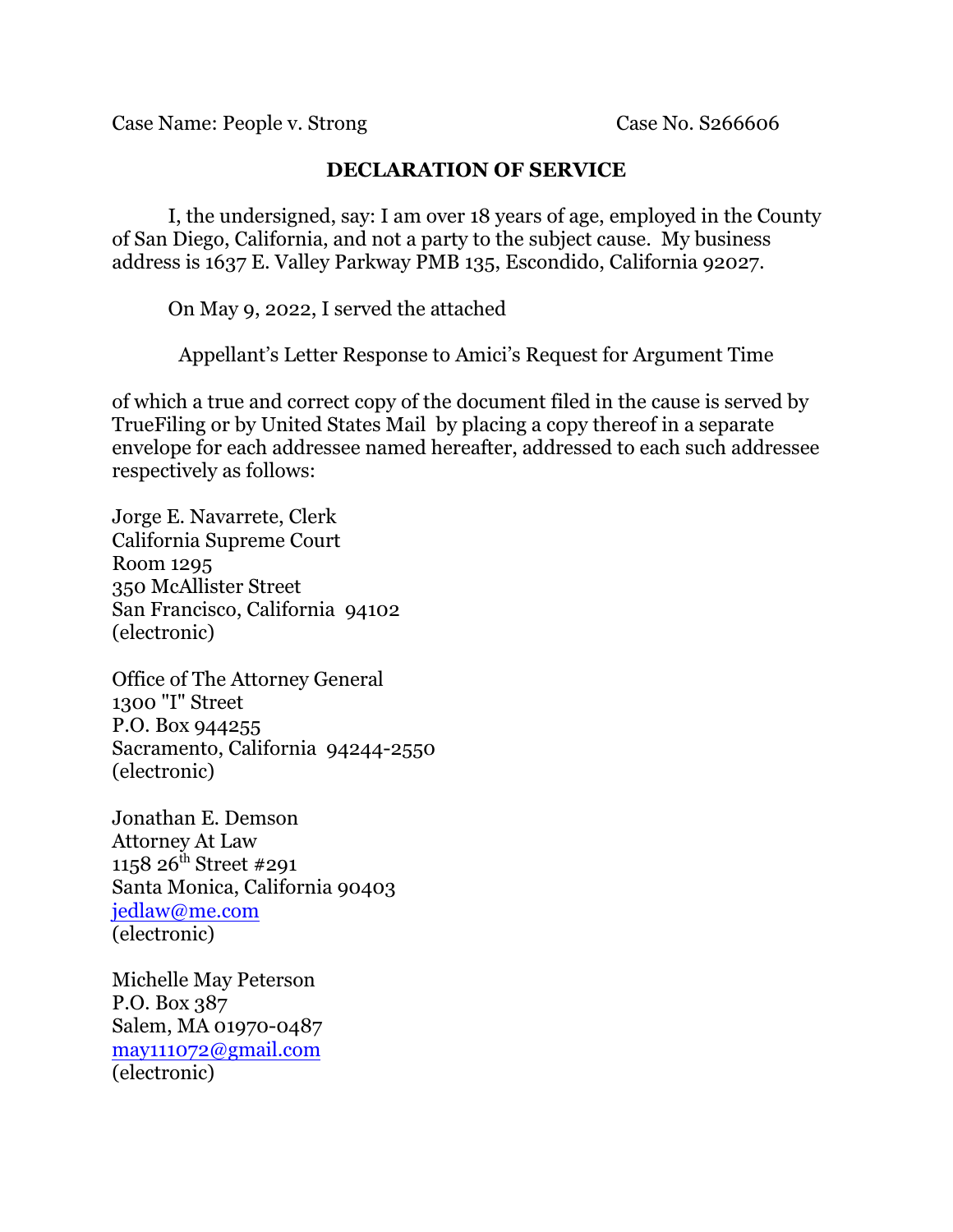Case Name: People v. Strong Case No. S266606

# **DECLARATION OF SERVICE**

I, the undersigned, say: I am over 18 years of age, employed in the County of San Diego, California, and not a party to the subject cause. My business address is 1637 E. Valley Parkway PMB 135, Escondido, California 92027.

On May 9, 2022, I served the attached

Appellant's Letter Response to Amici's Request for Argument Time

of which a true and correct copy of the document filed in the cause is served by TrueFiling or by United States Mail by placing a copy thereof in a separate envelope for each addressee named hereafter, addressed to each such addressee respectively as follows:

Jorge E. Navarrete, Clerk California Supreme Court Room 1295 350 McAllister Street San Francisco, California 94102 (electronic)

Office of The Attorney General 1300 "I" Street P.O. Box 944255 Sacramento, California 94244-2550 (electronic)

Jonathan E. Demson Attorney At Law 1158 26<sup>th</sup> Street #291 Santa Monica, California 90403 [jedlaw@me.com](mailto:jedlaw@me.com) (electronic)

Michelle May Peterson P.O. Box 387 Salem, MA 01970-0487 [may111072@gmail.com](mailto:may111072@gmail.com) (electronic)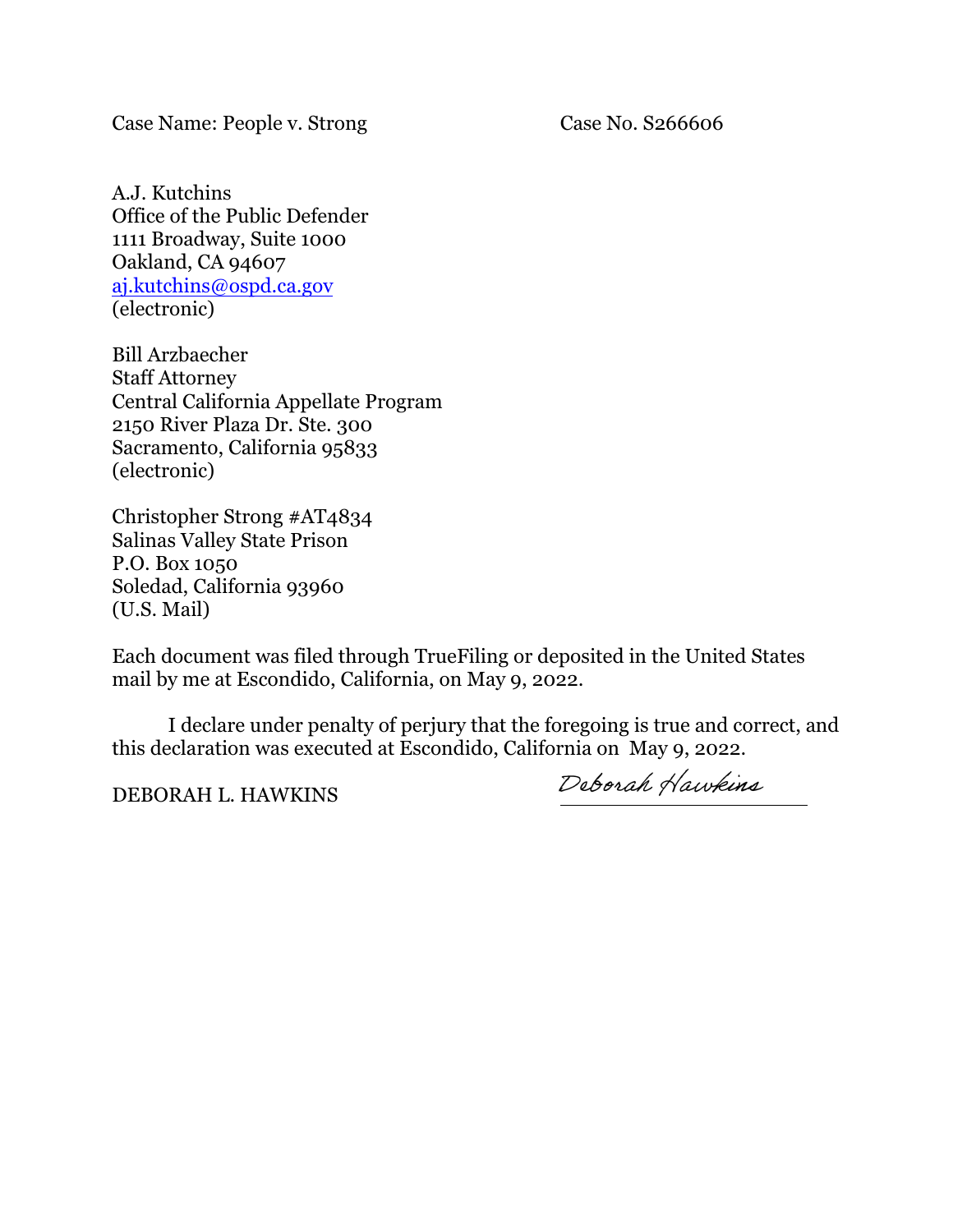Case Name: People v. Strong Case No. S266606

A.J. Kutchins Office of the Public Defender 1111 Broadway, Suite 1000 Oakland, CA 94607 [aj.kutchins@ospd.ca.gov](mailto:aj.kutchins@ospd.ca.gov) (electronic)

Bill Arzbaecher Staff Attorney Central California Appellate Program 2150 River Plaza Dr. Ste. 300 Sacramento, California 95833 (electronic)

Christopher Strong #AT4834 Salinas Valley State Prison P.O. Box 1050 Soledad, California 93960 (U.S. Mail)

Each document was filed through TrueFiling or deposited in the United States mail by me at Escondido, California, on May 9, 2022.

I declare under penalty of perjury that the foregoing is true and correct, and this declaration was executed at Escondido, California on May 9, 2022.

DEBORAH L. HAWKINS Deborah Hawkins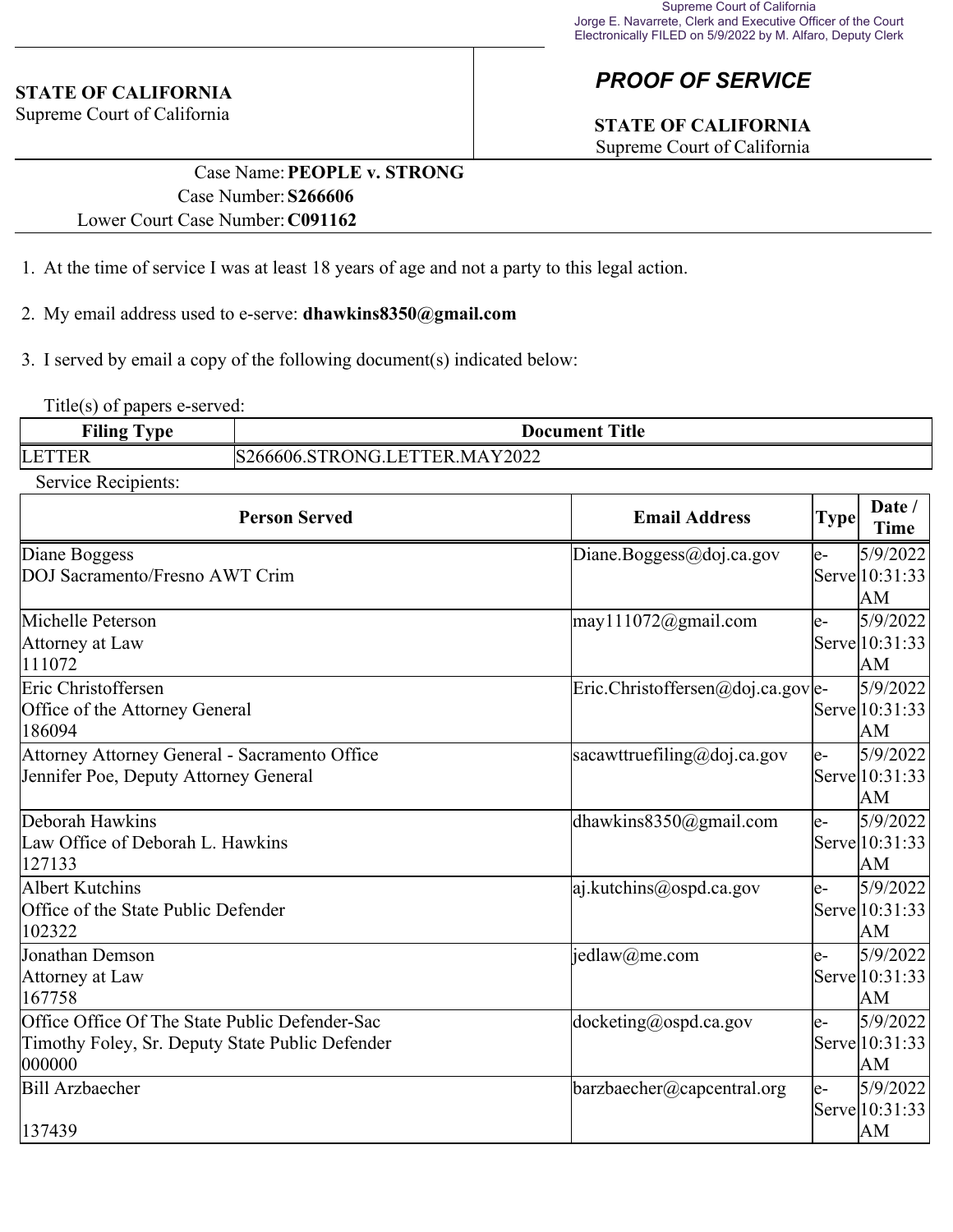#### **STATE OF CALIFORNIA**

Supreme Court of California

# *PROOF OF SERVICE*

# **STATE OF CALIFORNIA**

Supreme Court of California

## Case Name:**PEOPLE v. STRONG** Case Number:**S266606** Lower Court Case Number:**C091162**

- 1. At the time of service I was at least 18 years of age and not a party to this legal action.
- 2. My email address used to e-serve: **dhawkins8350@gmail.com**
- 3. I served by email a copy of the following document(s) indicated below:

Title(s) of papers e-served:

| $\mathbf{r}$ | <b>Title</b>                                            |  |  |
|--------------|---------------------------------------------------------|--|--|
| Filing       | m                                                       |  |  |
| vpe          |                                                         |  |  |
|              |                                                         |  |  |
| LET<br>. Liv | Y2022<br>MA<br>DNI.<br>. .<br>ЕK<br>$\sim$ 400000.<br>ĸ |  |  |

Service Recipients:

| <b>Person Served</b>                                                                                        | <b>Email Address</b>                                        | <b>Type</b> | $\mathbf{Date} /$<br><b>Time</b>  |
|-------------------------------------------------------------------------------------------------------------|-------------------------------------------------------------|-------------|-----------------------------------|
| Diane Boggess<br>DOJ Sacramento/Fresno AWT Crim                                                             | Diane.Boggess@doj.ca.gov                                    | le-         | 5/9/2022<br>Serve 10:31:33<br>AM  |
| Michelle Peterson<br>Attorney at Law<br>111072                                                              | $\text{may}$ 111072@gmail.com                               | le-         | 5/9/2022<br>Serve 10:31:33<br>lАM |
| Eric Christoffersen<br>Office of the Attorney General<br>186094                                             | $\text{Eric.Christoffersen} @ \text{doj.ca.gov} \text{le-}$ |             | 5/9/2022<br>Serve 10:31:33<br>lАM |
| Attorney Attorney General - Sacramento Office<br>Jennifer Poe, Deputy Attorney General                      | sacawttruefiling@doj.ca.gov                                 | le-         | 5/9/2022<br>Serve 10:31:33<br>lАM |
| Deborah Hawkins<br>Law Office of Deborah L. Hawkins<br>127133                                               | dhawkins $8350$ @gmail.com                                  | le-         | 5/9/2022<br>Serve 10:31:33<br>lАM |
| Albert Kutchins<br>Office of the State Public Defender<br>102322                                            | $ a $ .kutchins@ospd.ca.gov                                 | le-         | 5/9/2022<br>Serve 10:31:33<br>AM  |
| Jonathan Demson<br>Attorney at Law<br>167758                                                                | $\text{jedlaw}(a)$ me.com                                   | le-         | 5/9/2022<br>Serve 10:31:33<br>lАM |
| Office Office Of The State Public Defender-Sac<br>Timothy Foley, Sr. Deputy State Public Defender<br>000000 | $ $ docketing@ospd.ca.gov                                   | le-         | 5/9/2022<br>Serve 10:31:33<br> AM |
| Bill Arzbaecher<br>137439                                                                                   | $\frac{1}{2}$ barzbaecher@capcentral.org                    | le-         | 5/9/2022<br>Serve 10:31:33<br>lΑM |